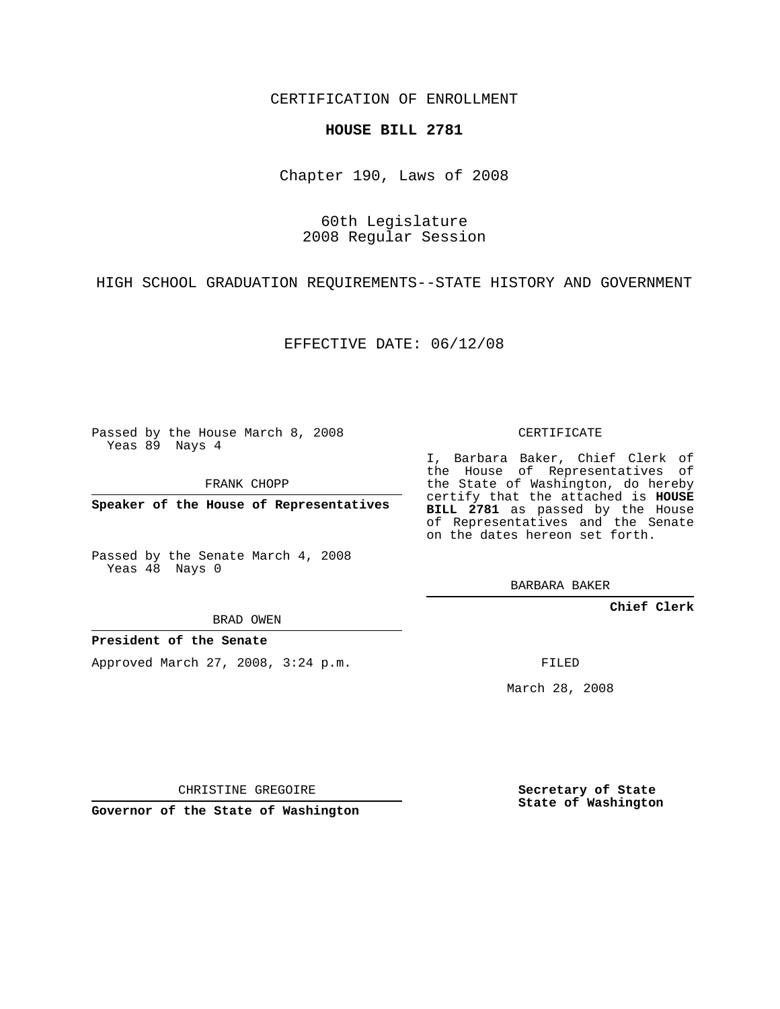CERTIFICATION OF ENROLLMENT

## **HOUSE BILL 2781**

Chapter 190, Laws of 2008

60th Legislature 2008 Regular Session

HIGH SCHOOL GRADUATION REQUIREMENTS--STATE HISTORY AND GOVERNMENT

EFFECTIVE DATE: 06/12/08

Passed by the House March 8, 2008 Yeas 89 Nays 4

FRANK CHOPP

**Speaker of the House of Representatives**

Passed by the Senate March 4, 2008 Yeas 48 Nays 0

BRAD OWEN

**President of the Senate**

Approved March 27, 2008, 3:24 p.m.

CERTIFICATE

I, Barbara Baker, Chief Clerk of the House of Representatives of the State of Washington, do hereby certify that the attached is **HOUSE BILL 2781** as passed by the House of Representatives and the Senate on the dates hereon set forth.

BARBARA BAKER

**Chief Clerk**

FILED

March 28, 2008

CHRISTINE GREGOIRE

**Governor of the State of Washington**

**Secretary of State State of Washington**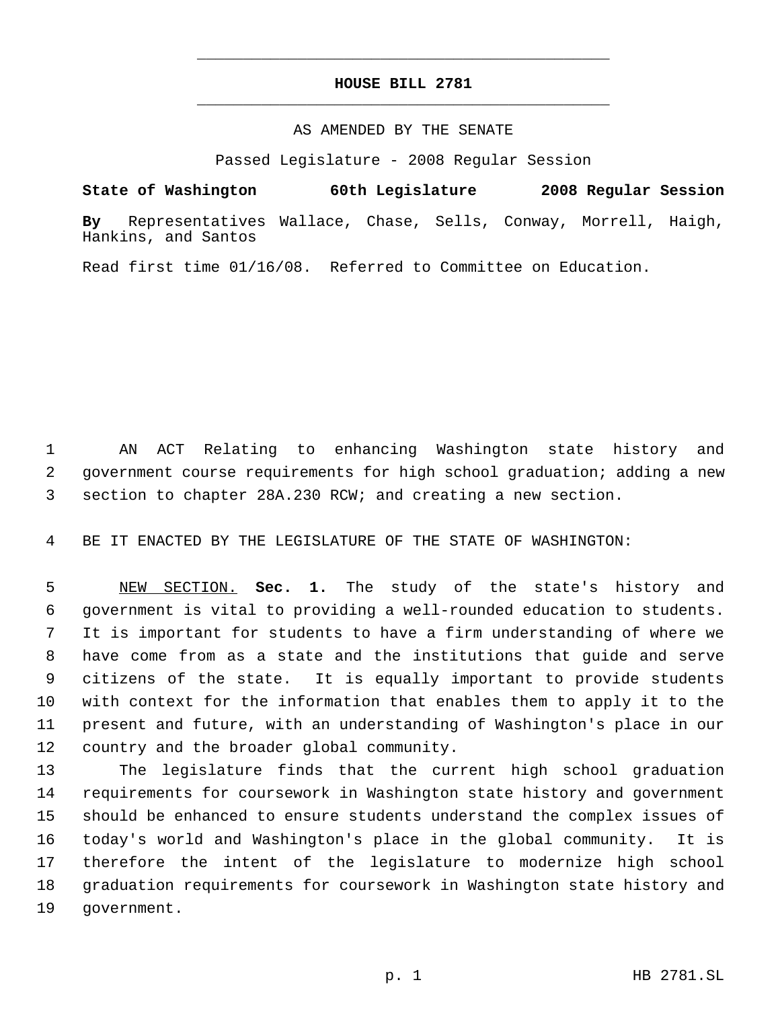## **HOUSE BILL 2781** \_\_\_\_\_\_\_\_\_\_\_\_\_\_\_\_\_\_\_\_\_\_\_\_\_\_\_\_\_\_\_\_\_\_\_\_\_\_\_\_\_\_\_\_\_

\_\_\_\_\_\_\_\_\_\_\_\_\_\_\_\_\_\_\_\_\_\_\_\_\_\_\_\_\_\_\_\_\_\_\_\_\_\_\_\_\_\_\_\_\_

## AS AMENDED BY THE SENATE

Passed Legislature - 2008 Regular Session

**State of Washington 60th Legislature 2008 Regular Session By** Representatives Wallace, Chase, Sells, Conway, Morrell, Haigh, Hankins, and Santos

Read first time 01/16/08. Referred to Committee on Education.

 AN ACT Relating to enhancing Washington state history and government course requirements for high school graduation; adding a new section to chapter 28A.230 RCW; and creating a new section.

BE IT ENACTED BY THE LEGISLATURE OF THE STATE OF WASHINGTON:

 NEW SECTION. **Sec. 1.** The study of the state's history and government is vital to providing a well-rounded education to students. It is important for students to have a firm understanding of where we have come from as a state and the institutions that guide and serve citizens of the state. It is equally important to provide students with context for the information that enables them to apply it to the present and future, with an understanding of Washington's place in our country and the broader global community.

 The legislature finds that the current high school graduation requirements for coursework in Washington state history and government should be enhanced to ensure students understand the complex issues of today's world and Washington's place in the global community. It is therefore the intent of the legislature to modernize high school graduation requirements for coursework in Washington state history and government.